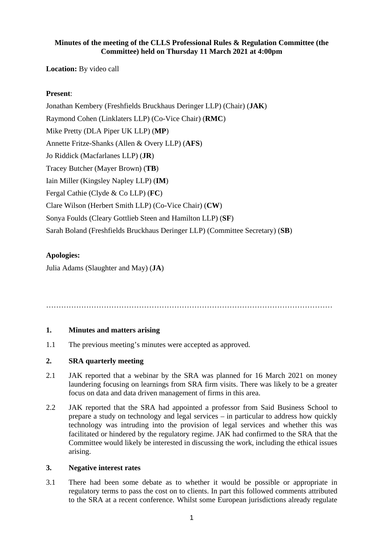### **Minutes of the meeting of the CLLS Professional Rules & Regulation Committee (the Committee) held on Thursday 11 March 2021 at 4:00pm**

**Location:** By video call

# **Present**:

Jonathan Kembery (Freshfields Bruckhaus Deringer LLP) (Chair) (**JAK**) Raymond Cohen (Linklaters LLP) (Co-Vice Chair) (**RMC**) Mike Pretty (DLA Piper UK LLP) (**MP**) Annette Fritze-Shanks (Allen & Overy LLP) (**AFS**) Jo Riddick (Macfarlanes LLP) (**JR**) Tracey Butcher (Mayer Brown) (**TB**) Iain Miller (Kingsley Napley LLP) (**IM**) Fergal Cathie (Clyde & Co LLP) (**FC**) Clare Wilson (Herbert Smith LLP) (Co-Vice Chair) (**CW**) Sonya Foulds (Cleary Gottlieb Steen and Hamilton LLP) (**SF**) Sarah Boland (Freshfields Bruckhaus Deringer LLP) (Committee Secretary) (**SB**)

# **Apologies:**

Julia Adams (Slaughter and May) (**JA**)

……………………………………………………………………………………………………

# **1. Minutes and matters arising**

1.1 The previous meeting's minutes were accepted as approved.

# **2. SRA quarterly meeting**

- 2.1 JAK reported that a webinar by the SRA was planned for 16 March 2021 on money laundering focusing on learnings from SRA firm visits. There was likely to be a greater focus on data and data driven management of firms in this area.
- 2.2 JAK reported that the SRA had appointed a professor from Said Business School to prepare a study on technology and legal services – in particular to address how quickly technology was intruding into the provision of legal services and whether this was facilitated or hindered by the regulatory regime. JAK had confirmed to the SRA that the Committee would likely be interested in discussing the work, including the ethical issues arising.

### **3. Negative interest rates**

3.1 There had been some debate as to whether it would be possible or appropriate in regulatory terms to pass the cost on to clients. In part this followed comments attributed to the SRA at a recent conference. Whilst some European jurisdictions already regulate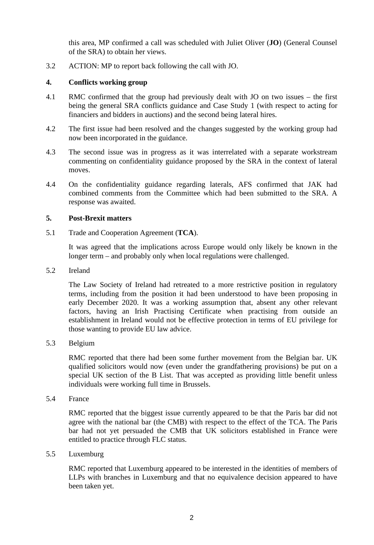this area, MP confirmed a call was scheduled with Juliet Oliver (**JO**) (General Counsel of the SRA) to obtain her views.

3.2 ACTION: MP to report back following the call with JO.

#### **4. Conflicts working group**

- 4.1 RMC confirmed that the group had previously dealt with JO on two issues the first being the general SRA conflicts guidance and Case Study 1 (with respect to acting for financiers and bidders in auctions) and the second being lateral hires.
- 4.2 The first issue had been resolved and the changes suggested by the working group had now been incorporated in the guidance.
- 4.3 The second issue was in progress as it was interrelated with a separate workstream commenting on confidentiality guidance proposed by the SRA in the context of lateral moves.
- 4.4 On the confidentiality guidance regarding laterals, AFS confirmed that JAK had combined comments from the Committee which had been submitted to the SRA. A response was awaited.

### **5. Post-Brexit matters**

5.1 Trade and Cooperation Agreement (**TCA**).

It was agreed that the implications across Europe would only likely be known in the longer term – and probably only when local regulations were challenged.

5.2 Ireland

The Law Society of Ireland had retreated to a more restrictive position in regulatory terms, including from the position it had been understood to have been proposing in early December 2020. It was a working assumption that, absent any other relevant factors, having an Irish Practising Certificate when practising from outside an establishment in Ireland would not be effective protection in terms of EU privilege for those wanting to provide EU law advice.

5.3 Belgium

RMC reported that there had been some further movement from the Belgian bar. UK qualified solicitors would now (even under the grandfathering provisions) be put on a special UK section of the B List. That was accepted as providing little benefit unless individuals were working full time in Brussels.

5.4 France

RMC reported that the biggest issue currently appeared to be that the Paris bar did not agree with the national bar (the CMB) with respect to the effect of the TCA. The Paris bar had not yet persuaded the CMB that UK solicitors established in France were entitled to practice through FLC status.

5.5 Luxemburg

RMC reported that Luxemburg appeared to be interested in the identities of members of LLPs with branches in Luxemburg and that no equivalence decision appeared to have been taken yet.